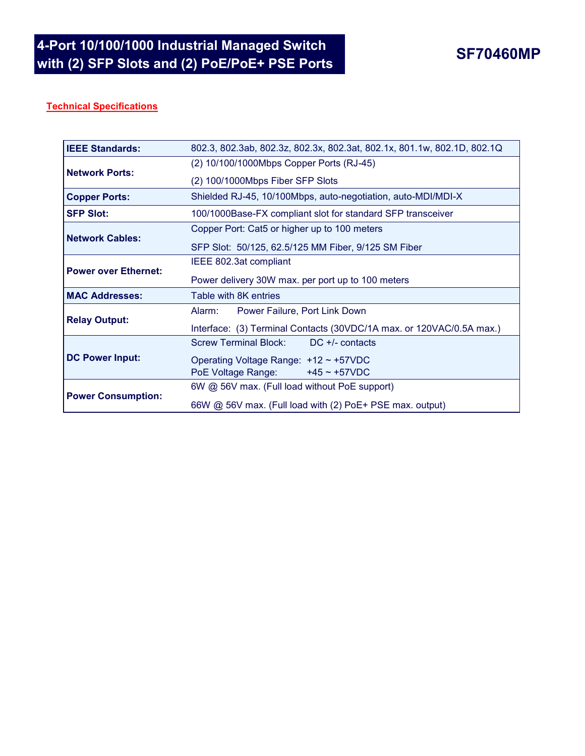## **Technical Specifications**

| <b>IEEE Standards:</b>      | 802.3, 802.3ab, 802.3z, 802.3x, 802.3at, 802.1x, 801.1w, 802.1D, 802.1Q |  |  |
|-----------------------------|-------------------------------------------------------------------------|--|--|
| <b>Network Ports:</b>       | (2) 10/100/1000Mbps Copper Ports (RJ-45)                                |  |  |
|                             | (2) 100/1000Mbps Fiber SFP Slots                                        |  |  |
| <b>Copper Ports:</b>        | Shielded RJ-45, 10/100Mbps, auto-negotiation, auto-MDI/MDI-X            |  |  |
| <b>ISFP Slot:</b>           | 100/1000Base-FX compliant slot for standard SFP transceiver             |  |  |
| <b>Network Cables:</b>      | Copper Port: Cat5 or higher up to 100 meters                            |  |  |
|                             | SFP Slot: 50/125, 62.5/125 MM Fiber, 9/125 SM Fiber                     |  |  |
| <b>Power over Ethernet:</b> | IEEE 802.3at compliant                                                  |  |  |
|                             | Power delivery 30W max. per port up to 100 meters                       |  |  |
| <b>MAC Addresses:</b>       | Table with 8K entries                                                   |  |  |
| <b>Relay Output:</b>        | Power Failure, Port Link Down<br>Alarm:                                 |  |  |
|                             | Interface: (3) Terminal Contacts (30VDC/1A max. or 120VAC/0.5A max.)    |  |  |
| <b>DC Power Input:</b>      | $DC +/-$ contacts<br><b>Screw Terminal Block:</b>                       |  |  |
|                             | Operating Voltage Range: +12 ~ +57VDC                                   |  |  |
|                             | $+45 \sim +57$ VDC<br>PoE Voltage Range:                                |  |  |
| <b>Power Consumption:</b>   | 6W @ 56V max. (Full load without PoE support)                           |  |  |
|                             | 66W @ 56V max. (Full load with (2) PoE+ PSE max. output)                |  |  |